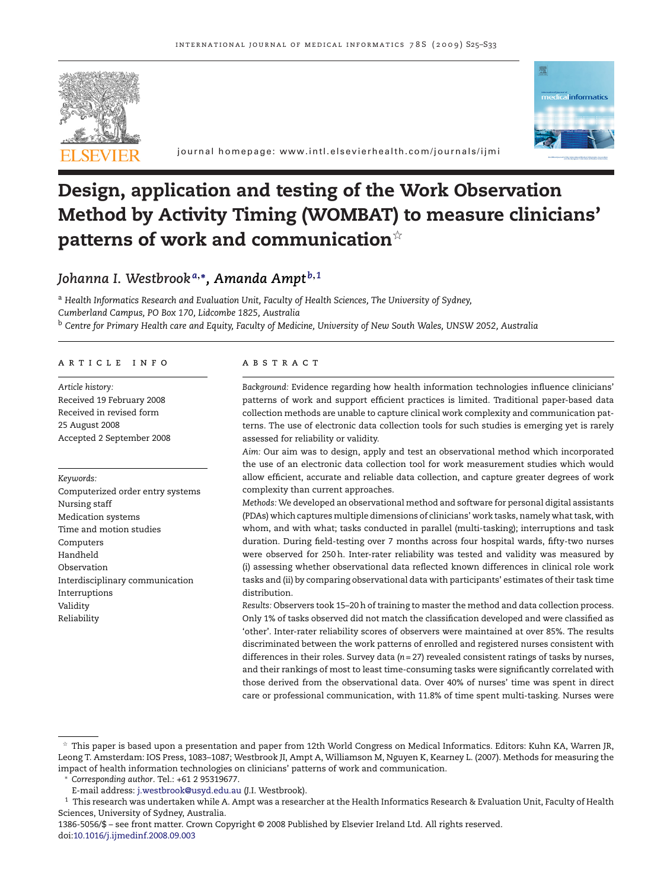



journal homepage: www.intl.elsevierhealth.com/journals/ijmi

# **Design, application and testing of the Work Observation Method by Activity Timing (WOMBAT) to measure clinicians' patterns of work and communication**-

## *Johanna I. Westbrook <sup>a</sup>***,∗***, Amanda Ampt <sup>b</sup>***,***<sup>1</sup>*

<sup>a</sup> *Health Informatics Research and Evaluation Unit, Faculty of Health Sciences, The University of Sydney, Cumberland Campus, PO Box 170, Lidcombe 1825, Australia* <sup>b</sup> *Centre for Primary Health care and Equity, Faculty of Medicine, University of New South Wales, UNSW 2052, Australia*

#### article info

*Article history:* Received 19 February 2008 Received in revised form 25 August 2008 Accepted 2 September 2008

#### *Keywords:*

Computerized order entry systems Nursing staff Medication systems Time and motion studies Computers Handheld Observation Interdisciplinary communication Interruptions Validity Reliability

## **ABSTRACT**

*Background:* Evidence regarding how health information technologies influence clinicians' patterns of work and support efficient practices is limited. Traditional paper-based data collection methods are unable to capture clinical work complexity and communication patterns. The use of electronic data collection tools for such studies is emerging yet is rarely assessed for reliability or validity.

*Aim:* Our aim was to design, apply and test an observational method which incorporated the use of an electronic data collection tool for work measurement studies which would allow efficient, accurate and reliable data collection, and capture greater degrees of work complexity than current approaches.

*Methods:* We developed an observational method and software for personal digital assistants (PDAs) which captures multiple dimensions of clinicians' work tasks, namely what task, with whom, and with what; tasks conducted in parallel (multi-tasking); interruptions and task duration. During field-testing over 7 months across four hospital wards, fifty-two nurses were observed for 250 h. Inter-rater reliability was tested and validity was measured by (i) assessing whether observational data reflected known differences in clinical role work tasks and (ii) by comparing observational data with participants' estimates of their task time distribution.

*Results:* Observers took 15–20 h of training to master the method and data collection process. Only 1% of tasks observed did not match the classification developed and were classified as 'other'. Inter-rater reliability scores of observers were maintained at over 85%. The results discriminated between the work patterns of enrolled and registered nurses consistent with differences in their roles. Survey data (*n* = 27) revealed consistent ratings of tasks by nurses, and their rankings of most to least time-consuming tasks were significantly correlated with those derived from the observational data. Over 40% of nurses' time was spent in direct care or professional communication, with 11.8% of time spent multi-tasking. Nurses were

 $^\star$  This paper is based upon a presentation and paper from 12th World Congress on Medical Informatics. Editors: Kuhn KA, Warren JR, Leong T. Amsterdam: IOS Press, 1083–1087; Westbrook JI, Ampt A, Williamson M, Nguyen K, Kearney L. (2007). Methods for measuring the impact of health information technologies on clinicians' patterns of work and communication.

<sup>∗</sup> *Corresponding author*. Tel.: +61 2 95319677.

E-mail address: [j.westbrook@usyd.edu.au](mailto:j.westbrook@usyd.edu.au) (J.I. Westbrook).

 $^{\rm 1}$  This research was undertaken while A. Ampt was a researcher at the Health Informatics Research & Evaluation Unit, Faculty of Health Sciences, University of Sydney, Australia.

<sup>1386-5056/\$ –</sup> see front matter. Crown Copyright © 2008 Published by Elsevier Ireland Ltd. All rights reserved. doi:[10.1016/j.ijmedinf.2008.09.003](dx.doi.org/10.1016/j.ijmedinf.2008.09.003)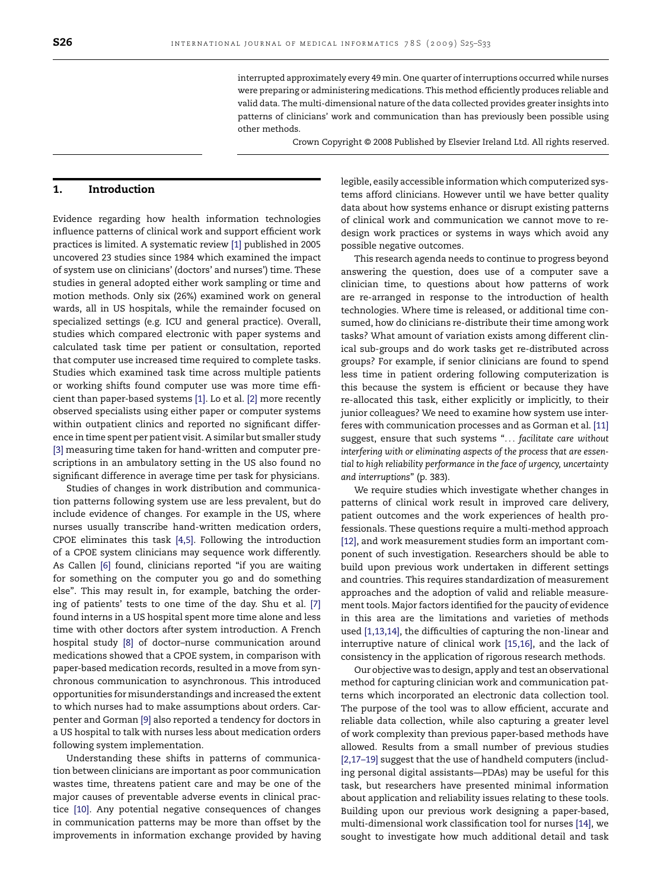interrupted approximately every 49min. One quarter of interruptions occurred while nurses were preparing or administering medications. This method efficiently produces reliable and valid data. The multi-dimensional nature of the data collected provides greater insights into patterns of clinicians' work and communication than has previously been possible using other methods.

Crown Copyright © 2008 Published by Elsevier Ireland Ltd. All rights reserved.

## **1. Introduction**

Evidence regarding how health information technologies influence patterns of clinical work and support efficient work practices is limited. A systematic review [\[1\]](#page-7-0) published in 2005 uncovered 23 studies since 1984 which examined the impact of system use on clinicians' (doctors' and nurses') time. These studies in general adopted either work sampling or time and motion methods. Only six (26%) examined work on general wards, all in US hospitals, while the remainder focused on specialized settings (e.g. ICU and general practice). Overall, studies which compared electronic with paper systems and calculated task time per patient or consultation, reported that computer use increased time required to complete tasks. Studies which examined task time across multiple patients or working shifts found computer use was more time efficient than paper-based systems [\[1\]. L](#page-7-0)o et al. [\[2\]](#page-7-0) more recently observed specialists using either paper or computer systems within outpatient clinics and reported no significant difference in time spent per patient visit. A similar but smaller study [\[3\]](#page-7-0) measuring time taken for hand-written and computer prescriptions in an ambulatory setting in the US also found no significant difference in average time per task for physicians.

Studies of changes in work distribution and communication patterns following system use are less prevalent, but do include evidence of changes. For example in the US, where nurses usually transcribe hand-written medication orders, CPOE eliminates this task [\[4,5\].](#page-7-0) Following the introduction of a CPOE system clinicians may sequence work differently. As Callen [\[6\]](#page-7-0) found, clinicians reported "if you are waiting for something on the computer you go and do something else". This may result in, for example, batching the ordering of patients' tests to one time of the day. Shu et al. [\[7\]](#page-7-0) found interns in a US hospital spent more time alone and less time with other doctors after system introduction. A French hospital study [\[8\]](#page-7-0) of doctor–nurse communication around medications showed that a CPOE system, in comparison with paper-based medication records, resulted in a move from synchronous communication to asynchronous. This introduced opportunities for misunderstandings and increased the extent to which nurses had to make assumptions about orders. Carpenter and Gorman [\[9\]](#page-7-0) also reported a tendency for doctors in a US hospital to talk with nurses less about medication orders following system implementation.

Understanding these shifts in patterns of communication between clinicians are important as poor communication wastes time, threatens patient care and may be one of the major causes of preventable adverse events in clinical practice [\[10\].](#page-7-0) Any potential negative consequences of changes in communication patterns may be more than offset by the improvements in information exchange provided by having legible, easily accessible information which computerized systems afford clinicians. However until we have better quality data about how systems enhance or disrupt existing patterns of clinical work and communication we cannot move to redesign work practices or systems in ways which avoid any possible negative outcomes.

This research agenda needs to continue to progress beyond answering the question, does use of a computer save a clinician time, to questions about how patterns of work are re-arranged in response to the introduction of health technologies. Where time is released, or additional time consumed, how do clinicians re-distribute their time among work tasks? What amount of variation exists among different clinical sub-groups and do work tasks get re-distributed across groups? For example, if senior clinicians are found to spend less time in patient ordering following computerization is this because the system is efficient or because they have re-allocated this task, either explicitly or implicitly, to their junior colleagues? We need to examine how system use interferes with communication processes and as Gorman et al. [\[11\]](#page-7-0) suggest, ensure that such systems "... *facilitate care without interfering with or eliminating aspects of the process that are essential to high reliability performance in the face of urgency, uncertainty and interruptions*" (p. 383).

We require studies which investigate whether changes in patterns of clinical work result in improved care delivery, patient outcomes and the work experiences of health professionals. These questions require a multi-method approach [\[12\], a](#page-7-0)nd work measurement studies form an important component of such investigation. Researchers should be able to build upon previous work undertaken in different settings and countries. This requires standardization of measurement approaches and the adoption of valid and reliable measurement tools. Major factors identified for the paucity of evidence in this area are the limitations and varieties of methods used [\[1,13,14\], t](#page-7-0)he difficulties of capturing the non-linear and interruptive nature of clinical work [\[15,16\],](#page-7-0) and the lack of consistency in the application of rigorous research methods.

Our objective was to design, apply and test an observational method for capturing clinician work and communication patterns which incorporated an electronic data collection tool. The purpose of the tool was to allow efficient, accurate and reliable data collection, while also capturing a greater level of work complexity than previous paper-based methods have allowed. Results from a small number of previous studies [\[2,17–19\]](#page-7-0) suggest that the use of handheld computers (including personal digital assistants—PDAs) may be useful for this task, but researchers have presented minimal information about application and reliability issues relating to these tools. Building upon our previous work designing a paper-based, multi-dimensional work classification tool for nurses [\[14\], w](#page-7-0)e sought to investigate how much additional detail and task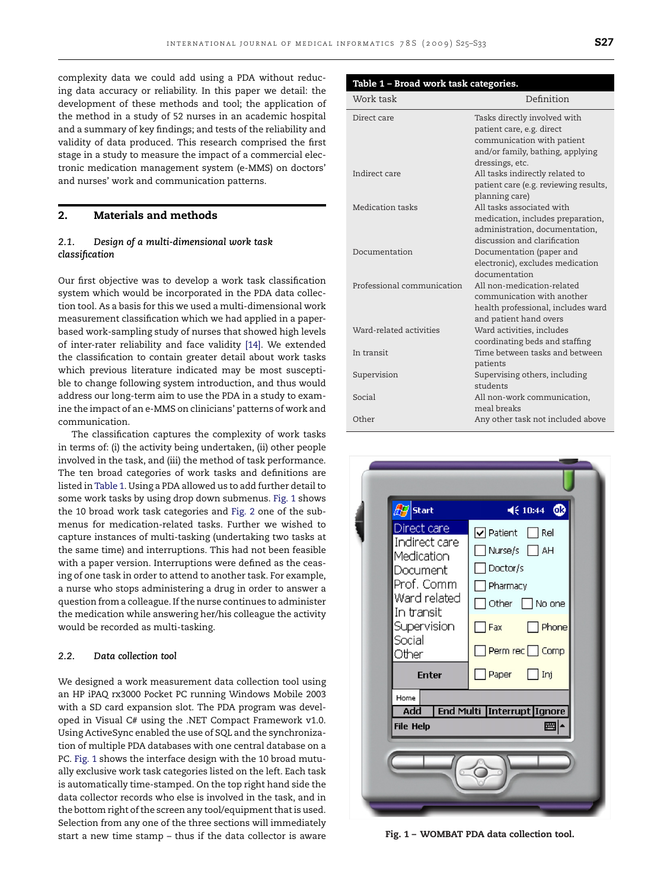<span id="page-2-0"></span>complexity data we could add using a PDA without reducing data accuracy or reliability. In this paper we detail: the development of these methods and tool; the application of the method in a study of 52 nurses in an academic hospital and a summary of key findings; and tests of the reliability and validity of data produced. This research comprised the first stage in a study to measure the impact of a commercial electronic medication management system (e-MMS) on doctors' and nurses' work and communication patterns.

## **2. Materials and methods**

### *2.1. Design of a multi-dimensional work task classification*

Our first objective was to develop a work task classification system which would be incorporated in the PDA data collection tool. As a basis for this we used a multi-dimensional work measurement classification which we had applied in a paperbased work-sampling study of nurses that showed high levels of inter-rater reliability and face validity [\[14\].](#page-7-0) We extended the classification to contain greater detail about work tasks which previous literature indicated may be most susceptible to change following system introduction, and thus would address our long-term aim to use the PDA in a study to examine the impact of an e-MMS on clinicians' patterns of work and communication.

The classification captures the complexity of work tasks in terms of: (i) the activity being undertaken, (ii) other people involved in the task, and (iii) the method of task performance. The ten broad categories of work tasks and definitions are listed in Table 1. Using a PDA allowed us to add further detail to some work tasks by using drop down submenus. Fig. 1 shows the 10 broad work task categories and [Fig. 2](#page-3-0) one of the submenus for medication-related tasks. Further we wished to capture instances of multi-tasking (undertaking two tasks at the same time) and interruptions. This had not been feasible with a paper version. Interruptions were defined as the ceasing of one task in order to attend to another task. For example, a nurse who stops administering a drug in order to answer a question from a colleague. If the nurse continues to administer the medication while answering her/his colleague the activity would be recorded as multi-tasking.

#### *2.2. Data collection tool*

We designed a work measurement data collection tool using an HP iPAQ rx3000 Pocket PC running Windows Mobile 2003 with a SD card expansion slot. The PDA program was developed in Visual C# using the .NET Compact Framework v1.0. Using ActiveSync enabled the use of SQL and the synchronization of multiple PDA databases with one central database on a PC. Fig. 1 shows the interface design with the 10 broad mutually exclusive work task categories listed on the left. Each task is automatically time-stamped. On the top right hand side the data collector records who else is involved in the task, and in the bottom right of the screen any tool/equipment that is used. Selection from any one of the three sections will immediately start a new time stamp – thus if the data collector is aware

| Table 1 - Broad work task categories. |                                                         |
|---------------------------------------|---------------------------------------------------------|
| Work task                             | Definition                                              |
| Direct care                           | Tasks directly involved with                            |
|                                       | patient care, e.g. direct<br>communication with patient |
|                                       | and/or family, bathing, applying                        |
|                                       | dressings, etc.                                         |
| Indirect care                         | All tasks indirectly related to                         |
|                                       | patient care (e.g. reviewing results,                   |
|                                       | planning care)                                          |
| Medication tasks                      | All tasks associated with                               |
|                                       | medication, includes preparation,                       |
|                                       | administration, documentation,                          |
|                                       | discussion and clarification                            |
| Documentation                         | Documentation (paper and                                |
|                                       | electronic), excludes medication                        |
| Professional communication            | documentation<br>All non-medication-related             |
|                                       | communication with another                              |
|                                       | health professional, includes ward                      |
|                                       | and patient hand overs                                  |
| Ward-related activities               | Ward activities, includes                               |
|                                       | coordinating beds and staffing                          |
| In transit                            | Time between tasks and between                          |
|                                       | patients                                                |
| Supervision                           | Supervising others, including                           |
|                                       | students                                                |
| Social                                | All non-work communication,                             |
|                                       | meal breaks                                             |
| Other                                 | Any other task not included above                       |



**Fig. 1 – WOMBAT PDA data collection tool.**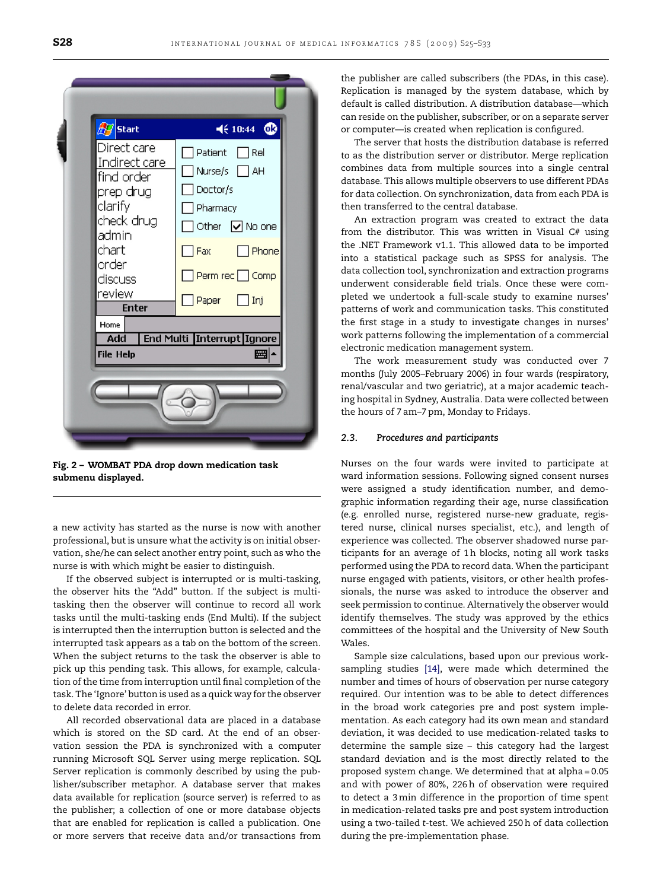<span id="page-3-0"></span>

| Patient<br>Rel<br>Indirect care<br>Nurse/s $\Box$<br>AH<br>find order<br>Doctor/s]<br>prep drug<br>clarify<br>Pharmacy<br>check drug<br>Other $\boxed{\vee}$ No one<br>admin<br>chart<br>Fax<br>order<br>Perm rec Comp<br>discuss<br>review<br>Paper<br>  Ini<br><b>Enter</b><br>Home<br>End Multi   Interrupt   Ignore<br>Add<br>圏<br><b>File Help</b> | $\sqrt{7}$ Start | $4610:44$ $@3$ |
|---------------------------------------------------------------------------------------------------------------------------------------------------------------------------------------------------------------------------------------------------------------------------------------------------------------------------------------------------------|------------------|----------------|
|                                                                                                                                                                                                                                                                                                                                                         | Direct care      | Phone          |
|                                                                                                                                                                                                                                                                                                                                                         |                  |                |

**Fig. 2 – WOMBAT PDA drop down medication task submenu displayed.**

a new activity has started as the nurse is now with another professional, but is unsure what the activity is on initial observation, she/he can select another entry point, such as who the nurse is with which might be easier to distinguish.

If the observed subject is interrupted or is multi-tasking, the observer hits the "Add" button. If the subject is multitasking then the observer will continue to record all work tasks until the multi-tasking ends (End Multi). If the subject is interrupted then the interruption button is selected and the interrupted task appears as a tab on the bottom of the screen. When the subject returns to the task the observer is able to pick up this pending task. This allows, for example, calculation of the time from interruption until final completion of the task. The 'Ignore' button is used as a quick way for the observer to delete data recorded in error.

All recorded observational data are placed in a database which is stored on the SD card. At the end of an observation session the PDA is synchronized with a computer running Microsoft SQL Server using merge replication. SQL Server replication is commonly described by using the publisher/subscriber metaphor. A database server that makes data available for replication (source server) is referred to as the publisher; a collection of one or more database objects that are enabled for replication is called a publication. One or more servers that receive data and/or transactions from the publisher are called subscribers (the PDAs, in this case). Replication is managed by the system database, which by default is called distribution. A distribution database—which can reside on the publisher, subscriber, or on a separate server or computer—is created when replication is configured.

The server that hosts the distribution database is referred to as the distribution server or distributor. Merge replication combines data from multiple sources into a single central database. This allows multiple observers to use different PDAs for data collection. On synchronization, data from each PDA is then transferred to the central database.

An extraction program was created to extract the data from the distributor. This was written in Visual C# using the .NET Framework v1.1. This allowed data to be imported into a statistical package such as SPSS for analysis. The data collection tool, synchronization and extraction programs underwent considerable field trials. Once these were completed we undertook a full-scale study to examine nurses' patterns of work and communication tasks. This constituted the first stage in a study to investigate changes in nurses' work patterns following the implementation of a commercial electronic medication management system.

The work measurement study was conducted over 7 months (July 2005–February 2006) in four wards (respiratory, renal/vascular and two geriatric), at a major academic teaching hospital in Sydney, Australia. Data were collected between the hours of 7 am–7 pm, Monday to Fridays.

## *2.3. Procedures and participants*

Nurses on the four wards were invited to participate at ward information sessions. Following signed consent nurses were assigned a study identification number, and demographic information regarding their age, nurse classification (e.g. enrolled nurse, registered nurse-new graduate, registered nurse, clinical nurses specialist, etc.), and length of experience was collected. The observer shadowed nurse participants for an average of 1 h blocks, noting all work tasks performed using the PDA to record data. When the participant nurse engaged with patients, visitors, or other health professionals, the nurse was asked to introduce the observer and seek permission to continue. Alternatively the observer would identify themselves. The study was approved by the ethics committees of the hospital and the University of New South Wales.

Sample size calculations, based upon our previous worksampling studies [\[14\],](#page-7-0) were made which determined the number and times of hours of observation per nurse category required. Our intention was to be able to detect differences in the broad work categories pre and post system implementation. As each category had its own mean and standard deviation, it was decided to use medication-related tasks to determine the sample size – this category had the largest standard deviation and is the most directly related to the proposed system change. We determined that at alpha = 0.05 and with power of 80%, 226 h of observation were required to detect a 3min difference in the proportion of time spent in medication-related tasks pre and post system introduction using a two-tailed *t*-test. We achieved 250 h of data collection during the pre-implementation phase.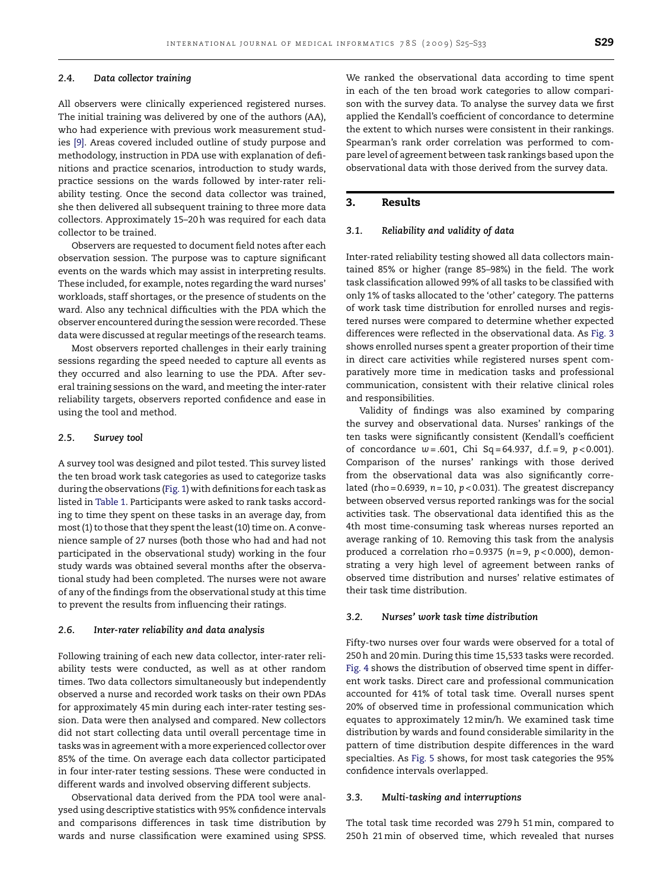#### *2.4. Data collector training*

All observers were clinically experienced registered nurses. The initial training was delivered by one of the authors (AA), who had experience with previous work measurement studies [\[9\].](#page-7-0) Areas covered included outline of study purpose and methodology, instruction in PDA use with explanation of definitions and practice scenarios, introduction to study wards, practice sessions on the wards followed by inter-rater reliability testing. Once the second data collector was trained, she then delivered all subsequent training to three more data collectors. Approximately 15–20 h was required for each data collector to be trained.

Observers are requested to document field notes after each observation session. The purpose was to capture significant events on the wards which may assist in interpreting results. These included, for example, notes regarding the ward nurses' workloads, staff shortages, or the presence of students on the ward. Also any technical difficulties with the PDA which the observer encountered during the session were recorded. These data were discussed at regular meetings of the research teams.

Most observers reported challenges in their early training sessions regarding the speed needed to capture all events as they occurred and also learning to use the PDA. After several training sessions on the ward, and meeting the inter-rater reliability targets, observers reported confidence and ease in using the tool and method.

#### *2.5. Survey tool*

A survey tool was designed and pilot tested. This survey listed the ten broad work task categories as used to categorize tasks during the observations [\(Fig. 1\) w](#page-2-0)ith definitions for each task as listed in [Table 1. P](#page-2-0)articipants were asked to rank tasks according to time they spent on these tasks in an average day, from most (1) to those that they spent the least (10) time on. A convenience sample of 27 nurses (both those who had and had not participated in the observational study) working in the four study wards was obtained several months after the observational study had been completed. The nurses were not aware of any of the findings from the observational study at this time to prevent the results from influencing their ratings.

#### *2.6. Inter-rater reliability and data analysis*

Following training of each new data collector, inter-rater reliability tests were conducted, as well as at other random times. Two data collectors simultaneously but independently observed a nurse and recorded work tasks on their own PDAs for approximately 45min during each inter-rater testing session. Data were then analysed and compared. New collectors did not start collecting data until overall percentage time in tasks was in agreement with a more experienced collector over 85% of the time. On average each data collector participated in four inter-rater testing sessions. These were conducted in different wards and involved observing different subjects.

Observational data derived from the PDA tool were analysed using descriptive statistics with 95% confidence intervals and comparisons differences in task time distribution by wards and nurse classification were examined using SPSS. We ranked the observational data according to time spent in each of the ten broad work categories to allow comparison with the survey data. To analyse the survey data we first applied the Kendall's coefficient of concordance to determine the extent to which nurses were consistent in their rankings. Spearman's rank order correlation was performed to compare level of agreement between task rankings based upon the observational data with those derived from the survey data.

## **3. Results**

#### *3.1. Reliability and validity of data*

Inter-rated reliability testing showed all data collectors maintained 85% or higher (range 85–98%) in the field. The work task classification allowed 99% of all tasks to be classified with only 1% of tasks allocated to the 'other' category. The patterns of work task time distribution for enrolled nurses and registered nurses were compared to determine whether expected differences were reflected in the observational data. As [Fig. 3](#page-5-0) shows enrolled nurses spent a greater proportion of their time in direct care activities while registered nurses spent comparatively more time in medication tasks and professional communication, consistent with their relative clinical roles and responsibilities.

Validity of findings was also examined by comparing the survey and observational data. Nurses' rankings of the ten tasks were significantly consistent (Kendall's coefficient of concordance *w* = .601, Chi Sq = 64.937, d.f. = 9, *p* < 0.001). Comparison of the nurses' rankings with those derived from the observational data was also significantly correlated (rho =  $0.6939$ ,  $n = 10$ ,  $p < 0.031$ ). The greatest discrepancy between observed versus reported rankings was for the social activities task. The observational data identified this as the 4th most time-consuming task whereas nurses reported an average ranking of 10. Removing this task from the analysis produced a correlation rho = 0.9375 (*n* = 9, *p* < 0.000), demonstrating a very high level of agreement between ranks of observed time distribution and nurses' relative estimates of their task time distribution.

#### *3.2. Nurses' work task time distribution*

Fifty-two nurses over four wards were observed for a total of 250 h and 20min. During this time 15,533 tasks were recorded. [Fig. 4](#page-5-0) shows the distribution of observed time spent in different work tasks. Direct care and professional communication accounted for 41% of total task time. Overall nurses spent 20% of observed time in professional communication which equates to approximately 12min/h. We examined task time distribution by wards and found considerable similarity in the pattern of time distribution despite differences in the ward specialties. As [Fig. 5](#page-6-0) shows, for most task categories the 95% confidence intervals overlapped.

#### *3.3. Multi-tasking and interruptions*

The total task time recorded was 279 h 51min, compared to 250 h 21min of observed time, which revealed that nurses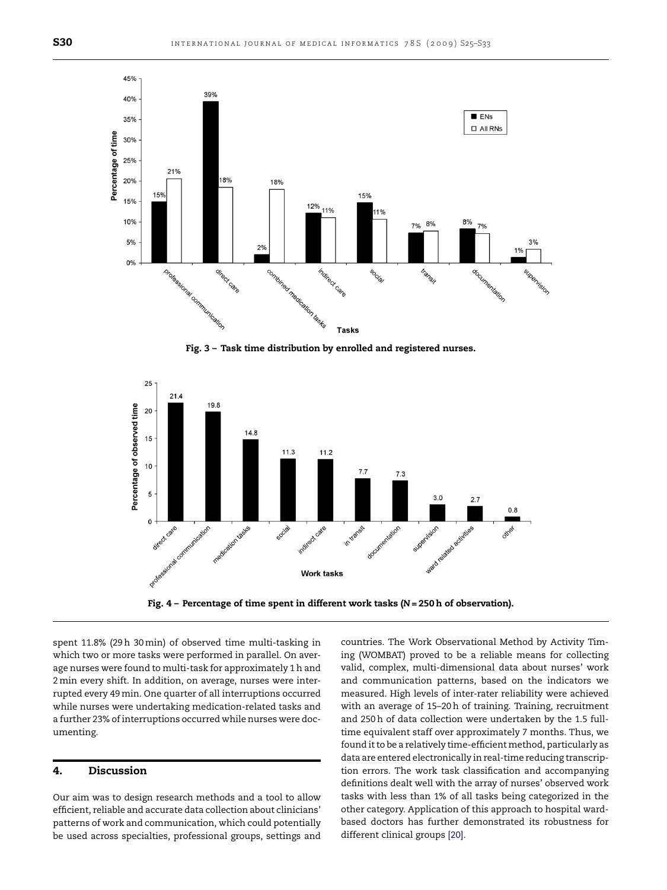<span id="page-5-0"></span>

**Fig. 3 – Task time distribution by enrolled and registered nurses.**



**Fig. 4 – Percentage of time spent in different work tasks (***N* **= 250 h of observation).**

spent 11.8% (29 h 30min) of observed time multi-tasking in which two or more tasks were performed in parallel. On average nurses were found to multi-task for approximately 1 h and 2min every shift. In addition, on average, nurses were interrupted every 49min. One quarter of all interruptions occurred while nurses were undertaking medication-related tasks and a further 23% of interruptions occurred while nurses were documenting.

#### **4. Discussion**

Our aim was to design research methods and a tool to allow efficient, reliable and accurate data collection about clinicians' patterns of work and communication, which could potentially be used across specialties, professional groups, settings and countries. The Work Observational Method by Activity Timing (WOMBAT) proved to be a reliable means for collecting valid, complex, multi-dimensional data about nurses' work and communication patterns, based on the indicators we measured. High levels of inter-rater reliability were achieved with an average of 15–20 h of training. Training, recruitment and 250 h of data collection were undertaken by the 1.5 fulltime equivalent staff over approximately 7 months. Thus, we found it to be a relatively time-efficient method, particularly as data are entered electronically in real-time reducing transcription errors. The work task classification and accompanying definitions dealt well with the array of nurses' observed work tasks with less than 1% of all tasks being categorized in the other category. Application of this approach to hospital wardbased doctors has further demonstrated its robustness for different clinical groups [\[20\].](#page-8-0)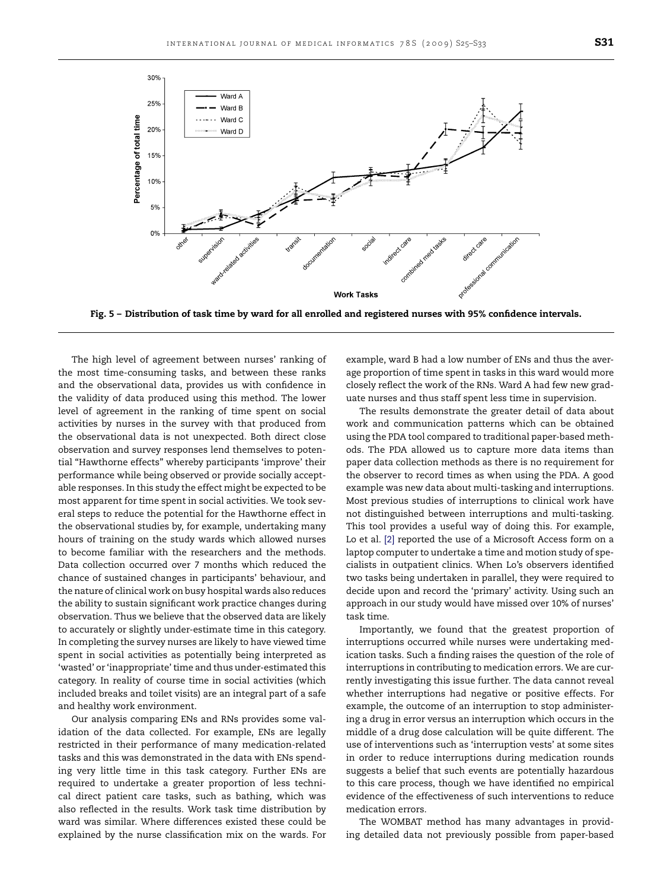<span id="page-6-0"></span>

**Fig. 5 – Distribution of task time by ward for all enrolled and registered nurses with 95% confidence intervals.**

The high level of agreement between nurses' ranking of the most time-consuming tasks, and between these ranks and the observational data, provides us with confidence in the validity of data produced using this method. The lower level of agreement in the ranking of time spent on social activities by nurses in the survey with that produced from the observational data is not unexpected. Both direct close observation and survey responses lend themselves to potential "Hawthorne effects" whereby participants 'improve' their performance while being observed or provide socially acceptable responses. In this study the effect might be expected to be most apparent for time spent in social activities. We took several steps to reduce the potential for the Hawthorne effect in the observational studies by, for example, undertaking many hours of training on the study wards which allowed nurses to become familiar with the researchers and the methods. Data collection occurred over 7 months which reduced the chance of sustained changes in participants' behaviour, and the nature of clinical work on busy hospital wards also reduces the ability to sustain significant work practice changes during observation. Thus we believe that the observed data are likely to accurately or slightly under-estimate time in this category. In completing the survey nurses are likely to have viewed time spent in social activities as potentially being interpreted as 'wasted' or 'inappropriate' time and thus under-estimated this category. In reality of course time in social activities (which included breaks and toilet visits) are an integral part of a safe and healthy work environment.

Our analysis comparing ENs and RNs provides some validation of the data collected. For example, ENs are legally restricted in their performance of many medication-related tasks and this was demonstrated in the data with ENs spending very little time in this task category. Further ENs are required to undertake a greater proportion of less technical direct patient care tasks, such as bathing, which was also reflected in the results. Work task time distribution by ward was similar. Where differences existed these could be explained by the nurse classification mix on the wards. For example, ward B had a low number of ENs and thus the average proportion of time spent in tasks in this ward would more closely reflect the work of the RNs. Ward A had few new graduate nurses and thus staff spent less time in supervision.

The results demonstrate the greater detail of data about work and communication patterns which can be obtained using the PDA tool compared to traditional paper-based methods. The PDA allowed us to capture more data items than paper data collection methods as there is no requirement for the observer to record times as when using the PDA. A good example was new data about multi-tasking and interruptions. Most previous studies of interruptions to clinical work have not distinguished between interruptions and multi-tasking. This tool provides a useful way of doing this. For example, Lo et al. [\[2\]](#page-7-0) reported the use of a Microsoft Access form on a laptop computer to undertake a time and motion study of specialists in outpatient clinics. When Lo's observers identified two tasks being undertaken in parallel, they were required to decide upon and record the 'primary' activity. Using such an approach in our study would have missed over 10% of nurses' task time.

Importantly, we found that the greatest proportion of interruptions occurred while nurses were undertaking medication tasks. Such a finding raises the question of the role of interruptions in contributing to medication errors. We are currently investigating this issue further. The data cannot reveal whether interruptions had negative or positive effects. For example, the outcome of an interruption to stop administering a drug in error versus an interruption which occurs in the middle of a drug dose calculation will be quite different. The use of interventions such as 'interruption vests' at some sites in order to reduce interruptions during medication rounds suggests a belief that such events are potentially hazardous to this care process, though we have identified no empirical evidence of the effectiveness of such interventions to reduce medication errors.

The WOMBAT method has many advantages in providing detailed data not previously possible from paper-based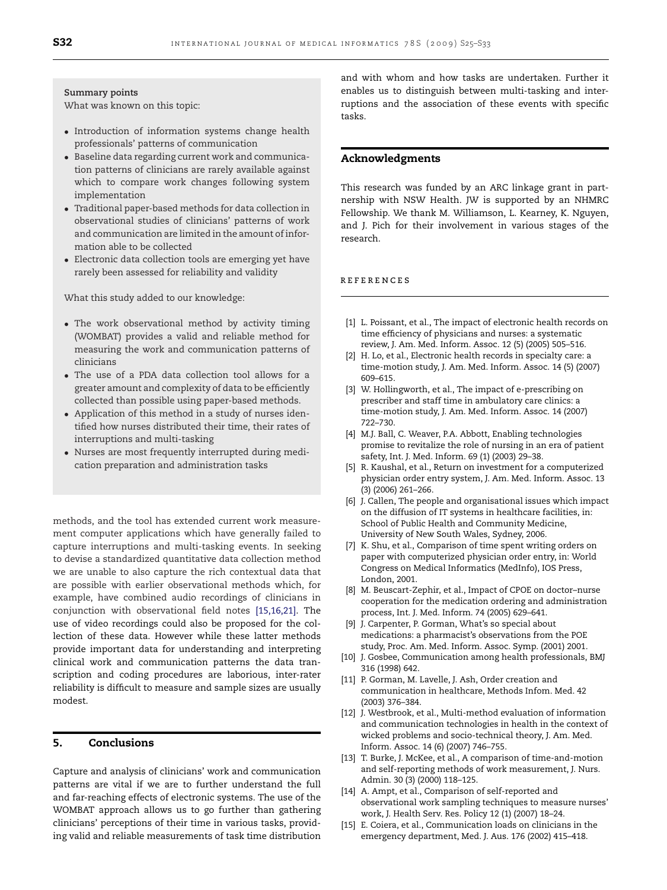<span id="page-7-0"></span>**Summary points**

What was known on this topic:

- Introduction of information systems change health professionals' patterns of communication
- Baseline data regarding current work and communication patterns of clinicians are rarely available against which to compare work changes following system implementation
- Traditional paper-based methods for data collection in observational studies of clinicians' patterns of work and communication are limited in the amount of information able to be collected
- Electronic data collection tools are emerging yet have rarely been assessed for reliability and validity

What this study added to our knowledge:

- The work observational method by activity timing (WOMBAT) provides a valid and reliable method for measuring the work and communication patterns of clinicians
- The use of a PDA data collection tool allows for a greater amount and complexity of data to be efficiently collected than possible using paper-based methods.
- Application of this method in a study of nurses identified how nurses distributed their time, their rates of interruptions and multi-tasking
- Nurses are most frequently interrupted during medication preparation and administration tasks

methods, and the tool has extended current work measurement computer applications which have generally failed to capture interruptions and multi-tasking events. In seeking to devise a standardized quantitative data collection method we are unable to also capture the rich contextual data that are possible with earlier observational methods which, for example, have combined audio recordings of clinicians in conjunction with observational field notes [15,16,21]. The use of video recordings could also be proposed for the collection of these data. However while these latter methods provide important data for understanding and interpreting clinical work and communication patterns the data transcription and coding procedures are laborious, inter-rater reliability is difficult to measure and sample sizes are usually modest.

## **5. Conclusions**

Capture and analysis of clinicians' work and communication patterns are vital if we are to further understand the full and far-reaching effects of electronic systems. The use of the WOMBAT approach allows us to go further than gathering clinicians' perceptions of their time in various tasks, providing valid and reliable measurements of task time distribution and with whom and how tasks are undertaken. Further it enables us to distinguish between multi-tasking and interruptions and the association of these events with specific tasks.

## **Acknowledgments**

This research was funded by an ARC linkage grant in partnership with NSW Health. JW is supported by an NHMRC Fellowship. We thank M. Williamson, L. Kearney, K. Nguyen, and J. Pich for their involvement in various stages of the research.

#### references

- [1] L. Poissant, et al., The impact of electronic health records on time efficiency of physicians and nurses: a systematic review, J. Am. Med. Inform. Assoc. 12 (5) (2005) 505–516.
- [2] H. Lo, et al., Electronic health records in specialty care: a time-motion study, J. Am. Med. Inform. Assoc. 14 (5) (2007) 609–615.
- [3] W. Hollingworth, et al., The impact of e-prescribing on prescriber and staff time in ambulatory care clinics: a time-motion study, J. Am. Med. Inform. Assoc. 14 (2007) 722–730.
- [4] M.J. Ball, C. Weaver, P.A. Abbott, Enabling technologies promise to revitalize the role of nursing in an era of patient safety, Int. J. Med. Inform. 69 (1) (2003) 29–38.
- [5] R. Kaushal, et al., Return on investment for a computerized physician order entry system, J. Am. Med. Inform. Assoc. 13 (3) (2006) 261–266.
- [6] J. Callen, The people and organisational issues which impact on the diffusion of IT systems in healthcare facilities, in: School of Public Health and Community Medicine, University of New South Wales, Sydney, 2006.
- [7] K. Shu, et al., Comparison of time spent writing orders on paper with computerized physician order entry, in: World Congress on Medical Informatics (MedInfo), IOS Press, London, 2001.
- [8] M. Beuscart-Zephir, et al., Impact of CPOE on doctor–nurse cooperation for the medication ordering and administration process, Int. J. Med. Inform. 74 (2005) 629–641.
- [9] J. Carpenter, P. Gorman, What's so special about medications: a pharmacist's observations from the POE study, Proc. Am. Med. Inform. Assoc. Symp. (2001) 2001.
- [10] J. Gosbee, Communication among health professionals, BMJ 316 (1998) 642.
- [11] P. Gorman, M. Lavelle, J. Ash, Order creation and communication in healthcare, Methods Infom. Med. 42 (2003) 376–384.
- [12] J. Westbrook, et al., Multi-method evaluation of information and communication technologies in health in the context of wicked problems and socio-technical theory, J. Am. Med. Inform. Assoc. 14 (6) (2007) 746–755.
- [13] T. Burke, J. McKee, et al., A comparison of time-and-motion and self-reporting methods of work measurement, J. Nurs. Admin. 30 (3) (2000) 118–125.
- [14] A. Ampt, et al., Comparison of self-reported and observational work sampling techniques to measure nurses' work, J. Health Serv. Res. Policy 12 (1) (2007) 18–24.
- [15] E. Coiera, et al., Communication loads on clinicians in the emergency department, Med. J. Aus. 176 (2002) 415–418.